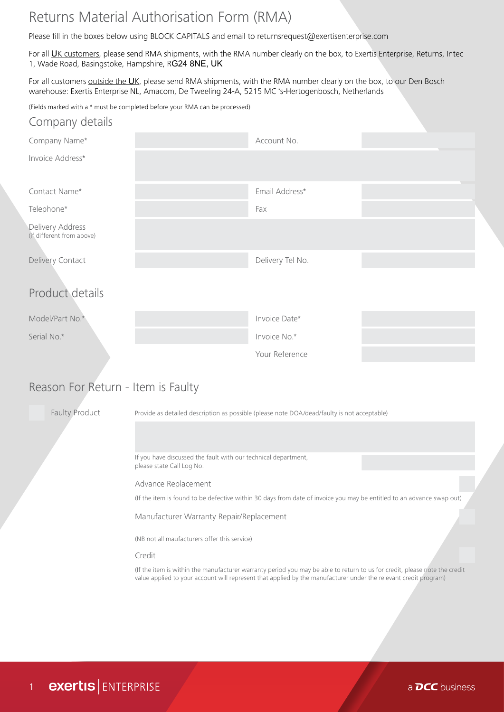## Returns Material Authorisation Form (RMA)

Please fill in the boxes below using BLOCK CAPITALS and email to returnsrequest@exertisenterprise.com

For all UK customers, please send RMA shipments, with the RMA number clearly on the box, to Exertis Enterprise, Returns, Intec 1, Wade Road, Basingstoke, Hampshire, RG24 8NE, UK

For all customers outside the UK, please send RMA shipments, with the RMA number clearly on the box, to our Den Bosch warehouse: Exertis Enterprise NL, Amacom, De Tweeling 24-A, 5215 MC 's-Hertogenbosch, Netherlands

(Fields marked with a \* must be completed before your RMA can be processed)

| Company details                               |                  |  |
|-----------------------------------------------|------------------|--|
| Company Name*                                 | Account No.      |  |
| Invoice Address*                              |                  |  |
| Contact Name*                                 | Email Address*   |  |
| Telephone*                                    | Fax              |  |
| Delivery Address<br>(if different from above) |                  |  |
| Delivery Contact                              | Delivery Tel No. |  |
| Product details                               |                  |  |
| Model/Part No.*                               | Invoice Date*    |  |
| Serial No.*                                   | Invoice No.*     |  |
|                                               | Your Reference   |  |
|                                               |                  |  |

## Reason For Return - Item is Faulty

Faulty Product Provide as detailed description as possible (please note DOA/dead/faulty is not acceptable) If you have discussed the fault with our technical department, please state Call Log No. Advance Replacement Manufacturer Warranty Repair/Replacement Credit (If the item is found to be defective within 30 days from date of invoice you may be entitled to an advance swap out) (NB not all maufacturers offer this service) (If the item is within the manufacturer warranty period you may be able to return to us for credit, please note the credit value applied to your account will represent that applied by the manufacturer under the relevant credit program)

a **DCC** business